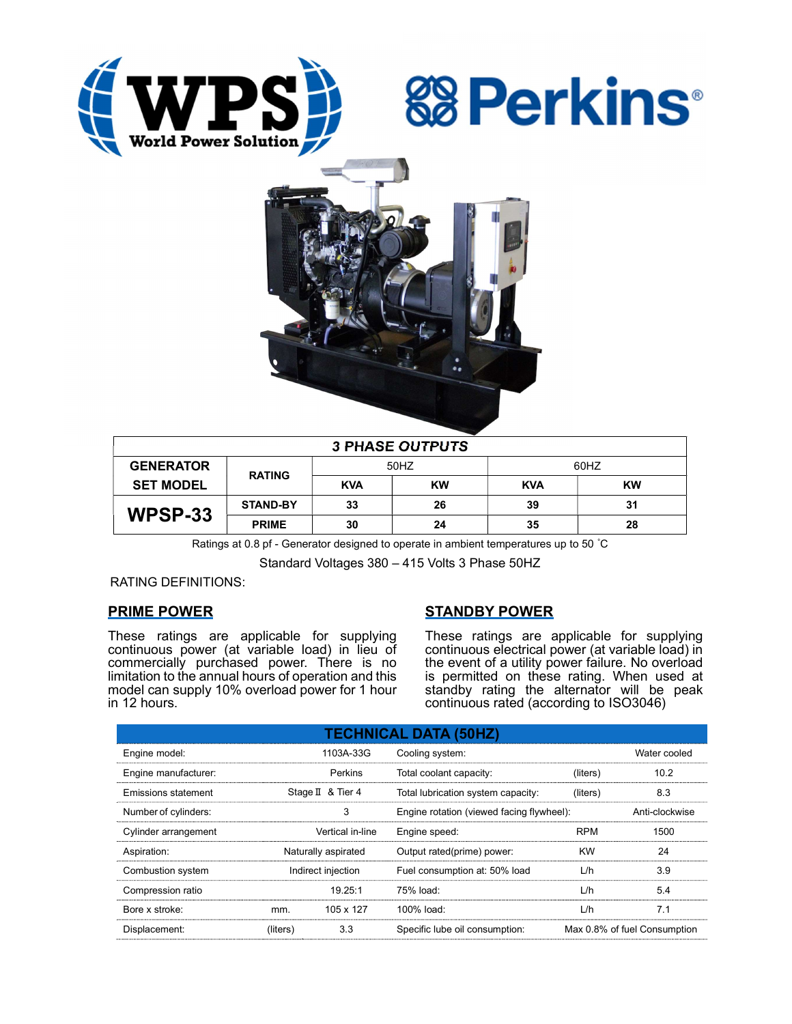





| <b>3 PHASE OUTPUTS</b> |                 |            |           |            |           |  |  |  |
|------------------------|-----------------|------------|-----------|------------|-----------|--|--|--|
| <b>GENERATOR</b>       | <b>RATING</b>   | 50HZ       |           | 60HZ       |           |  |  |  |
| <b>SET MODEL</b>       |                 | <b>KVA</b> | <b>KW</b> | <b>KVA</b> | <b>KW</b> |  |  |  |
| WPSP-33                | <b>STAND-BY</b> | 33         | 26        | 39         | 31        |  |  |  |
|                        | <b>PRIME</b>    | 30         | 24        | 35         | 28        |  |  |  |

Ratings at 0.8 pf - Generator designed to operate in ambient temperatures up to 50 °C

Standard Voltages 380 – 415 Volts 3 Phase 50HZ

## RATING DEFINITIONS:

## PRIME POWER

These ratings are applicable for supplying continuous power (at variable load) in lieu of commercially purchased power. There is no limitation to the annual hours of operation and this model can supply 10% overload power for 1 hour in 12 hours.

## STANDBY POWER

These ratings are applicable for supplying continuous electrical power (at variable load) in the event of a utility power failure. No overload is permitted on these rating. When used at standby rating the alternator will be peak continuous rated (according to ISO3046)

| <b>TECHNICAL DATA (50HZ)</b> |                     |                   |                                           |            |                              |  |  |  |  |
|------------------------------|---------------------|-------------------|-------------------------------------------|------------|------------------------------|--|--|--|--|
| Engine model:                |                     | 1103A-33G         | Cooling system:                           |            | Water cooled                 |  |  |  |  |
| Engine manufacturer:         |                     | Perkins           | Total coolant capacity:                   | (liters)   | 10.2                         |  |  |  |  |
| Emissions statement          |                     | Stage II & Tier 4 | Total lubrication system capacity:        | (liters)   | 8.3                          |  |  |  |  |
| Number of cylinders:         |                     | 3                 | Engine rotation (viewed facing flywheel): |            | Anti-clockwise               |  |  |  |  |
| Cylinder arrangement         |                     | Vertical in-line  | Engine speed:                             | <b>RPM</b> | 1500                         |  |  |  |  |
| Aspiration:                  | Naturally aspirated |                   | Output rated(prime) power:                | <b>KW</b>  | 24                           |  |  |  |  |
| Combustion system            | Indirect injection  |                   | Fuel consumption at: 50% load             | L/h        | 3.9                          |  |  |  |  |
| Compression ratio            |                     | 19.25:1           | $75%$ load:                               | L/h        | 5.4                          |  |  |  |  |
| Bore x stroke:               | mm.                 | 105 x 127         | 100% load:                                | L/h        | 7.1                          |  |  |  |  |
| Displacement:                | (liters)            | 3.3               | Specific lube oil consumption:            |            | Max 0.8% of fuel Consumption |  |  |  |  |